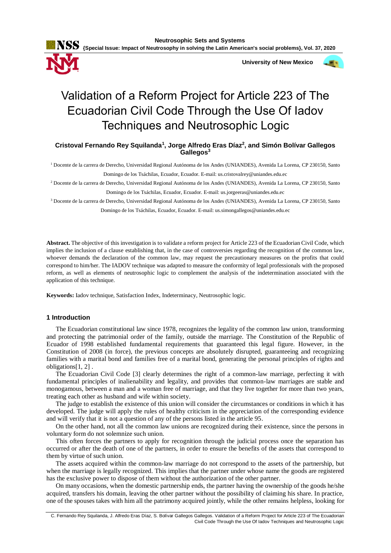

 **University of New Mexico**



# Validation of a Reform Project for Article 223 of The Ecuadorian Civil Code Through the Use Of Iadov Techniques and Neutrosophic Logic

**Cristoval Fernando Rey Squilanda<sup>1</sup> , Jorge Alfredo Eras Díaz<sup>2</sup> , and Simón Bolívar Gallegos Gallegos<sup>3</sup>**

<sup>1</sup> Docente de la carrera de Derecho, Universidad Regional Autónoma de los Andes (UNIANDES), Avenida La Lorena, CP 230150, Santo Domingo de los Tsáchilas, Ecuador, Ecuador. E-mail: us.cristovalrey@uniandes.edu.ec

<sup>2</sup> Docente de la carrera de Derecho, Universidad Regional Autónoma de los Andes (UNIANDES), Avenida La Lorena, CP 230150, Santo Domingo de los Tsáchilas, Ecuador, Ecuador. E-mail: us.jorgeeras@uniandes.edu.ec

<sup>3</sup> Docente de la carrera de Derecho, Universidad Regional Autónoma de los Andes (UNIANDES), Avenida La Lorena, CP 230150, Santo Domingo de los Tsáchilas, Ecuador, Ecuador. E-mail: us.simongallegos@uniandes.edu.ec

**Abstract.** The objective of this investigation is to validate a reform project for Article 223 of the Ecuadorian Civil Code, which implies the inclusion of a clause establishing that, in the case of controversies regarding the recognition of the common law, whoever demands the declaration of the common law, may request the precautionary measures on the profits that could correspond to him/her. The IADOV technique was adapted to measure the conformity of legal professionals with the proposed reform, as well as elements of neutrosophic logic to complement the analysis of the indetermination associated with the application of this technique.

**Keywords:** Iadov technique, Satisfaction Index, Indeterminacy, Neutrosophic logic.

## **1 Introduction**

The Ecuadorian constitutional law since 1978, recognizes the legality of the common law union, transforming and protecting the patrimonial order of the family, outside the marriage. The Constitution of the Republic of Ecuador of 1998 established fundamental requirements that guaranteed this legal figure. However, in the Constitution of 2008 (in force), the previous concepts are absolutely disrupted, guaranteeing and recognizing families with a marital bond and families free of a marital bond, generating the personal principles of rights and obligations[1, 2] .

The Ecuadorian Civil Code [3] clearly determines the right of a common-law marriage, perfecting it with fundamental principles of inalienability and legality, and provides that common-law marriages are stable and monogamous, between a man and a woman free of marriage, and that they live together for more than two years, treating each other as husband and wife within society.

The judge to establish the existence of this union will consider the circumstances or conditions in which it has developed. The judge will apply the rules of healthy criticism in the appreciation of the corresponding evidence and will verify that it is not a question of any of the persons listed in the article 95.

On the other hand, not all the common law unions are recognized during their existence, since the persons in voluntary form do not solemnize such union.

This often forces the partners to apply for recognition through the judicial process once the separation has occurred or after the death of one of the partners, in order to ensure the benefits of the assets that correspond to them by virtue of such union.

The assets acquired within the common-law marriage do not correspond to the assets of the partnership, but when the marriage is legally recognized. This implies that the partner under whose name the goods are registered has the exclusive power to dispose of them without the authorization of the other partner.

On many occasions, when the domestic partnership ends, the partner having the ownership of the goods he/she acquired, transfers his domain, leaving the other partner without the possibility of claiming his share. In practice, one of the spouses takes with him all the patrimony acquired jointly, while the other remains helpless, looking for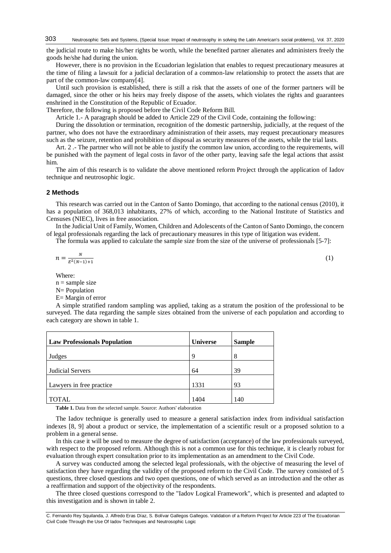the judicial route to make his/her rights be worth, while the benefited partner alienates and administers freely the goods he/she had during the union.

However, there is no provision in the Ecuadorian legislation that enables to request precautionary measures at the time of filing a lawsuit for a judicial declaration of a common-law relationship to protect the assets that are part of the common-law company[4].

Until such provision is established, there is still a risk that the assets of one of the former partners will be damaged, since the other or his heirs may freely dispose of the assets, which violates the rights and guarantees enshrined in the Constitution of the Republic of Ecuador.

Therefore, the following is proposed before the Civil Code Reform Bill.

Article 1.- A paragraph should be added to Article 229 of the Civil Code, containing the following:

During the dissolution or termination, recognition of the domestic partnership, judicially, at the request of the partner, who does not have the extraordinary administration of their assets, may request precautionary measures such as the seizure, retention and prohibition of disposal as security measures of the assets, while the trial lasts.

Art. 2 .- The partner who will not be able to justify the common law union, according to the requirements, will be punished with the payment of legal costs in favor of the other party, leaving safe the legal actions that assist him.

The aim of this research is to validate the above mentioned reform Project through the application of Iadov technique and neutrosophic logic.

### **2 Methods**

This research was carried out in the Canton of Santo Domingo, that according to the national census (2010), it has a population of 368,013 inhabitants, 27% of which, according to the National Institute of Statistics and Censuses (NIEC), lives in free association.

In the Judicial Unit of Family, Women, Children and Adolescents of the Canton of Santo Domingo, the concern of legal professionals regarding the lack of precautionary measures in this type of litigation was evident.

The formula was applied to calculate the sample size from the size of the universe of professionals [5-7]:

$$
n = \frac{N}{E^2(N-1)+1} \tag{1}
$$

Where:

 $n =$ sample size

N= Population

E= Margin of error

A simple stratified random sampling was applied, taking as a stratum the position of the professional to be surveyed. The data regarding the sample sizes obtained from the universe of each population and according to each category are shown in table 1.

| <b>Law Professionals Population</b> | <b>Universe</b> | <b>Sample</b> |
|-------------------------------------|-----------------|---------------|
| Judges                              | 9               | 8             |
| <b>Judicial Servers</b>             | 64              | 39            |
| Lawyers in free practice            | 1331            | 93            |
| <b>TOTAL</b>                        | 1404            | 140           |

**Table 1.** Data from the selected sample. Source: Authors' elaboration

The Iadov technique is generally used to measure a general satisfaction index from individual satisfaction indexes [8, 9] about a product or service, the implementation of a scientific result or a proposed solution to a problem in a general sense.

In this case it will be used to measure the degree of satisfaction (acceptance) of the law professionals surveyed, with respect to the proposed reform. Although this is not a common use for this technique, it is clearly robust for evaluation through expert consultation prior to its implementation as an amendment to the Civil Code.

A survey was conducted among the selected legal professionals, with the objective of measuring the level of satisfaction they have regarding the validity of the proposed reform to the Civil Code. The survey consisted of 5 questions, three closed questions and two open questions, one of which served as an introduction and the other as a reaffirmation and support of the objectivity of the respondents.

The three closed questions correspond to the "Iadov Logical Framework", which is presented and adapted to this investigation and is shown in table 2.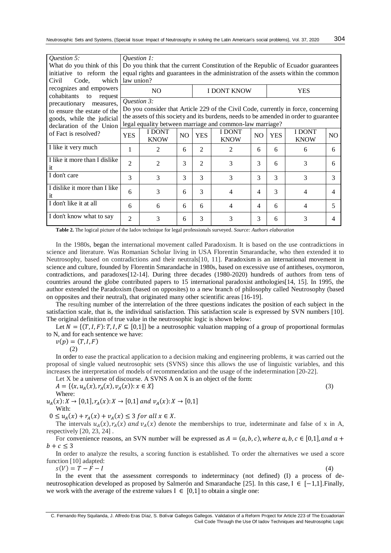| Question 5:<br>initiative to reform the<br>Code.<br>which<br>Civil                                                                                 | <i>Ouestion 1:</i><br>What do you think of this   Do you think that the current Constitution of the Republic of Ecuador guarantees<br>equal rights and guarantees in the administration of the assets within the common<br>law union?                  |                       |     |                |                       |                |            |                       |     |
|----------------------------------------------------------------------------------------------------------------------------------------------------|--------------------------------------------------------------------------------------------------------------------------------------------------------------------------------------------------------------------------------------------------------|-----------------------|-----|----------------|-----------------------|----------------|------------|-----------------------|-----|
| recognizes and empowers                                                                                                                            | N <sub>O</sub><br><b>I DONT KNOW</b>                                                                                                                                                                                                                   |                       |     |                | <b>YES</b>            |                |            |                       |     |
| cohabitants<br>to<br>request<br>precautionary<br>measures,<br>to ensure the estate of the<br>goods, while the judicial<br>declaration of the Union | Question 3:<br>Do you consider that Article 229 of the Civil Code, currently in force, concerning<br>the assets of this society and its burdens, needs to be amended in order to guarantee<br>legal equality between marriage and common-law marriage? |                       |     |                |                       |                |            |                       |     |
| of Fact is resolved?                                                                                                                               | <b>YES</b>                                                                                                                                                                                                                                             | I DONT<br><b>KNOW</b> | NO. | <b>YES</b>     | I DONT<br><b>KNOW</b> | N <sub>O</sub> | <b>YES</b> | I DONT<br><b>KNOW</b> | NO. |
| I like it very much                                                                                                                                | 1                                                                                                                                                                                                                                                      | 2                     | 6   | $\mathfrak{D}$ | $\mathfrak{D}$        | 6              | 6          | 6                     | 6   |
| I like it more than I dislike<br><sub>it</sub>                                                                                                     | $\overline{c}$                                                                                                                                                                                                                                         | 2                     | 3   | $\mathfrak{D}$ | 3                     | 3              | 6          | 3                     | 6   |
| I don't care                                                                                                                                       | 3                                                                                                                                                                                                                                                      | 3                     | 3   | 3              | $\mathcal{F}$         | 3              | 3          | 3                     | 3   |
| I dislike it more than I like<br><sub>it</sub>                                                                                                     | 6                                                                                                                                                                                                                                                      | 3                     | 6   | 3              | $\overline{4}$        | $\overline{4}$ | 3          | 4                     | 4   |
| I don't like it at all                                                                                                                             | 6                                                                                                                                                                                                                                                      | 6                     | 6   | 6              | 4                     | 4              | 6          | 4                     | 5   |
| I don't know what to say                                                                                                                           | $\overline{\mathcal{L}}$                                                                                                                                                                                                                               | 3                     | 6   | 3              | 3                     | 3              | 6          | 3                     | 4   |

**Table 2.** The logical picture of the Iadov technique for legal professionals surveyed*. Source: Authors elaboration*

In the 1980s, began the international movement called Paradoxism. It is based on the use contradictions in science and literature. Was Romanian Scholar living in USA Florentin Smarandache, who then extended it to Neutrosophy, based on contradictions and their neutrals[10, 11]. Paradoxism is an international movement in science and culture, founded by Florentin Smarandache in 1980s, based on excessive use of antitheses, oxymoron, contradictions, and paradoxes[12-14]. During three decades (1980-2020) hundreds of authors from tens of countries around the globe contributed papers to 15 international paradoxist anthologies[14, 15]. In 1995, the author extended the Paradoxism (based on opposites) to a new branch of philosophy called Neutrosophy (based on opposites and their neutral), that originated many other scientific areas [16-19].

The resulting number of the interrelation of the three questions indicates the position of each subject in the satisfaction scale, that is, the individual satisfaction. This satisfaction scale is expressed by SVN numbers [10]. The original definition of true value in the neutrosophic logic is shown below:

Let  $N = \{(T, I, F): T, I, F \subseteq [0,1]\}$  be a neutrosophic valuation mapping of a group of proportional formulas to N, and for each sentence we have:

$$
v(p)=(T,I,F)
$$

(2)

In order to ease the practical application to a decision making and engineering problems, it was carried out the proposal of single valued neutrosophic sets (SVNS) since this allows the use of linguistic variables, and this increases the interpretation of models of recommendation and the usage of the indetermination [20-22].

Let X be a universe of discourse. A SVNS A on X is an object of the form:  $A = \{ (x, u_A(x), r_A(x), v_A(x)) : x \in X \}$  (3)

Where:

 $u_A(x): X \to [0,1], r_A(x): X \to [0,1]$  and  $v_A(x): X \to [0,1]$ With:

 $0 \le u_A(x) + r_A(x) + v_A(x) \le 3$  for all  $x \in X$ .

The intervals  $u_A(x)$ ,  $r_A(x)$  and  $v_A(x)$  denote the memberships to true, indeterminate and false of x in A, respectively [20, 23, 24] .

For convenience reasons, an SVN number will be expressed as  $A = (a, b, c)$ , where  $a, b, c \in [0,1]$ , and  $a +$  $b + c \leq 3$ 

In order to analyze the results, a scoring function is established. To order the alternatives we used a score function [10] adapted:

 $s(V) = T - F - I$ 

In the event that the assessment corresponds to indeterminacy (not defined) (I) a process of deneutrosophication developed as proposed by Salmerón and Smarandache [25]. In this case, I ∈ [−1,1].Finally, we work with the average of the extreme values  $I \in [0,1]$  to obtain a single one: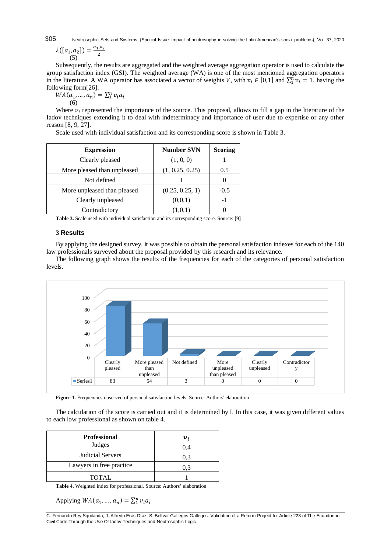#### Neutrosophic Sets and Systems, {Special Issue: Impact of neutrosophy in solving the Latin American's social problems}, Vol. 37, 2020 305  $, a_2$

$$
\lambda([a_1, a_2]) = \frac{a_{1\nu}}{2}
$$
\n(5)

Subsequently, the results are aggregated and the weighted average aggregation operator is used to calculate the group satisfaction index (GSI). The weighted average (WA) is one of the most mentioned aggregation operators in the literature. A WA operator has associated a vector of weights V, with  $v_i \in [0,1]$  and  $\sum_1^n v_i = 1$ , having the following form[26]:

 $WA(a_1, ..., a_n) = \sum_1^n v_i a_i$ (6)

Where  $v_i$  represented the importance of the source. This proposal, allows to fill a gap in the literature of the Iadov techniques extending it to deal with indeterminacy and importance of user due to expertise or any other reason [8, 9, 27].

Scale used with individual satisfaction and its corresponding score is shown in Table 3.

| <b>Expression</b>           | <b>Number SVN</b> | <b>Scoring</b> |
|-----------------------------|-------------------|----------------|
| Clearly pleased             | (1, 0, 0)         |                |
| More pleased than unpleased | (1, 0.25, 0.25)   | 0.5            |
| Not defined                 |                   |                |
| More unpleased than pleased | (0.25, 0.25, 1)   | $-0.5$         |
| Clearly unpleased           | (0,0,1)           | ۰.             |
| Contradictory               | (1.0.1)           |                |

**Table 3.** Scale used with individual satisfaction and its corresponding score. Source: [9]

# **3 Results**

By applying the designed survey, it was possible to obtain the personal satisfaction indexes for each of the 140 law professionals surveyed about the proposal provided by this research and its relevance.

The following graph shows the results of the frequencies for each of the categories of personal satisfaction levels.



**Figure 1.** Frequencies observed of personal satisfaction levels. Source: Authors' elaboration

The calculation of the score is carried out and it is determined by I. In this case, it was given different values to each low professional as shown on table 4.

| <b>Professional</b>      |     |
|--------------------------|-----|
| Judges                   | 0.4 |
| Judicial Servers         | 0.3 |
| Lawyers in free practice | 0.3 |
| <b>TOTAL</b>             |     |

**Table 4.** Weighted index for professional*.* Source: Authors' elaboration

Applying  $WA(a_1, ..., a_n) = \sum_1^n v_i a_i$ 

C. Fernando Rey Squilanda, J. Alfredo Eras Díaz, S. Bolívar Gallegos Gallegos. Validation of a Reform Project for Article 223 of The Ecuadorian Civil Code Through the Use Of Iadov Techniques and Neutrosophic Logic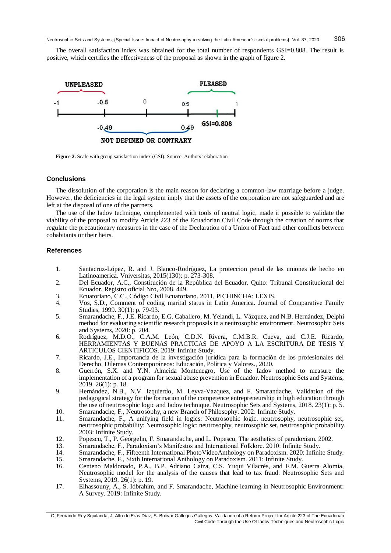The overall satisfaction index was obtained for the total number of respondents GSI=0.808. The result is positive, which certifies the effectiveness of the proposal as shown in the graph of figure 2.



**Figure 2.** Scale with group satisfaction index (GSI). Source: Authors' elaboration

## **Conclusions**

The dissolution of the corporation is the main reason for declaring a common-law marriage before a judge. However, the deficiencies in the legal system imply that the assets of the corporation are not safeguarded and are left at the disposal of one of the partners.

The use of the Iadov technique, complemented with tools of neutral logic, made it possible to validate the viability of the proposal to modify Article 223 of the Ecuadorian Civil Code through the creation of norms that regulate the precautionary measures in the case of the Declaration of a Union of Fact and other conflicts between cohabitants or their heirs.

## **References**

- 1. Santacruz-López, R. and J. Blanco-Rodríguez, La proteccion penal de las uniones de hecho en Latinoamerica. Vniversitas, 2015(130): p. 273-308.
- 2. Del Ecuador, A.C., Constitución de la República del Ecuador. Quito: Tribunal Constitucional del Ecuador. Registro oficial Nro, 2008. 449.
- 3. Ecuatoriano, C.C., Código Civil Ecuatoriano. 2011, PICHINCHA: LEXIS.
- 4. Vos, S.D., Comment of coding marital status in Latin America. Journal of Comparative Family Studies, 1999. 30(1): p. 79-93.
- 5. Smarandache, F., J.E. Ricardo, E.G. Caballero, M. Yelandi, L. Vázquez, and N.B. Hernández, Delphi method for evaluating scientific research proposals in a neutrosophic environment. Neutrosophic Sets and Systems, 2020: p. 204.
- 6. Rodríguez, M.D.O., C.A.M. León, C.D.N. Rivera, C.M.B.R. Cueva, and C.J.E. Ricardo, HERRAMIENTAS Y BUENAS PRACTICAS DE APOYO A LA ESCRITURA DE TESIS Y ARTICULOS CIENTIFICOS. 2019: Infinite Study.
- 7. Ricardo, J.E., Importancia de la investigación jurídica para la formación de los profesionales del Derecho. Dilemas Contemporáneos: Educación, Política y Valores., 2020.
- 8. Guerrón, S.X. and Y.N. Almeida Montenegro, Use of the Iadov method to measure the implementation of a program for sexual abuse prevention in Ecuador. Neutrosophic Sets and Systems, 2019. 26(1): p. 18.
- 9. Hernández, N.B., N.V. Izquierdo, M. Leyva-Vazquez, and F. Smarandache, Validation of the pedagogical strategy for the formation of the competence entrepreneurship in high education through the use of neutrosophic logic and Iadov technique. Neutrosophic Sets and Systems, 2018. 23(1): p. 5.
- 10. Smarandache, F., Neutrosophy, a new Branch of Philosophy. 2002: Infinite Study.
- 11. Smarandache, F., A unifying field in logics: Neutrosophic logic. neutrosophy, neutrosophic set, neutrosophic probability: Neutrosophic logic: neutrosophy, neutrosophic set, neutrosophic probability. 2003: Infinite Study.
- 12. Popescu, T., P. Georgelin, F. Smarandache, and L. Popescu, The aesthetics of paradoxism. 2002.
- 13. Smarandache, F., Paradoxism's Manifestos and International Folklore. 2010: Infinite Study.
- 14. Smarandache, F., Fifteenth International PhotoVideoAnthology on Paradoxism. 2020: Infinite Study.<br>15. Smarandache, F., Sixth International Anthology on Paradoxism. 2011: Infinite Study.
- 15. Smarandache, F., Sixth International Anthology on Paradoxism. 2011: Infinite Study.
- 16. Centeno Maldonado, P.A., B.P. Adriano Caiza, C.S. Yuqui Vilacrés, and F.M. Guerra Alomía, Neutrosophic model for the analysis of the causes that lead to tax fraud. Neutrosophic Sets and Systems, 2019. 26(1): p. 19.
- 17. Elhassouny, A., S. Idbrahim, and F. Smarandache, Machine learning in Neutrosophic Environment: A Survey. 2019: Infinite Study.